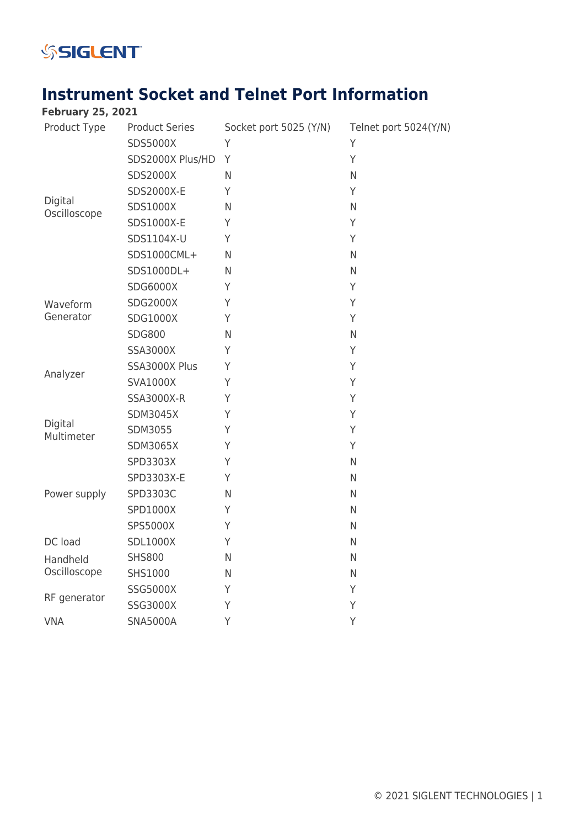

## **Instrument Socket and Telnet Port Information**

| <b>February 25, 2021</b> |                       |                        |                       |
|--------------------------|-----------------------|------------------------|-----------------------|
| Product Type             | <b>Product Series</b> | Socket port 5025 (Y/N) | Telnet port 5024(Y/N) |
| Digital<br>Oscilloscope  | SDS5000X              | Υ                      | Y                     |
|                          | SDS2000X Plus/HD      | Y                      | Y                     |
|                          | <b>SDS2000X</b>       | $\mathsf{N}$           | N                     |
|                          | SDS2000X-E            | Y                      | Y                     |
|                          | SDS1000X              | $\mathsf{N}$           | N                     |
|                          | SDS1000X-E            | Y                      | Y                     |
|                          | SDS1104X-U            | Y                      | Y                     |
|                          | SDS1000CML+           | $\mathsf{N}$           | N                     |
|                          | SDS1000DL+            | $\mathsf{N}$           | N                     |
| Waveform<br>Generator    | <b>SDG6000X</b>       | Y                      | Y                     |
|                          | <b>SDG2000X</b>       | Y                      | Y                     |
|                          | <b>SDG1000X</b>       | Y                      | Y                     |
|                          | <b>SDG800</b>         | $\mathsf{N}$           | N                     |
| Analyzer                 | <b>SSA3000X</b>       | Y                      | Y                     |
|                          | SSA3000X Plus         | Y                      | Y                     |
|                          | <b>SVA1000X</b>       | Y                      | Y                     |
|                          | SSA3000X-R            | Y                      | Y                     |
| Digital<br>Multimeter    | <b>SDM3045X</b>       | Y                      | Y                     |
|                          | SDM3055               | Y                      | Y                     |
|                          | <b>SDM3065X</b>       | Y                      | Y                     |
|                          | SPD3303X              | Y                      | N                     |
| Power supply             | SPD3303X-E            | Υ                      | $\mathsf{N}$          |
|                          | SPD3303C              | $\mathsf{N}$           | N                     |
|                          | SPD1000X              | Y                      | $\mathsf{N}$          |
|                          | SPS5000X              | Υ                      | $\mathsf{N}$          |
| DC load                  | <b>SDL1000X</b>       | Υ                      | N                     |
| Handheld                 | <b>SHS800</b>         | N                      | $\mathsf{N}$          |
| Oscilloscope             | SHS1000               | N                      | $\mathsf{N}$          |
| RF generator             | SSG5000X              | Υ                      | Υ                     |
|                          | SSG3000X              | Υ                      | Y                     |
| <b>VNA</b>               | <b>SNA5000A</b>       | Υ                      | Y                     |